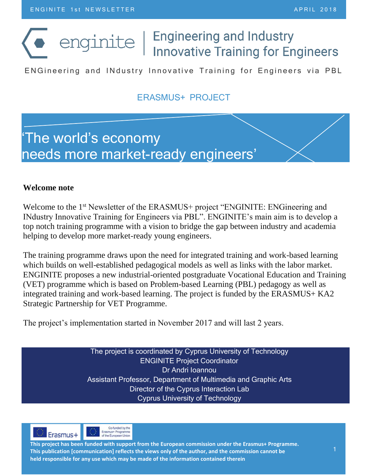# enginite |

## **Engineering and Industry Innovative Training for Engineers**

EN Gineering and IN dustry Innovative Training for Engineers via PBL

## ERASMUS+ PROJECT

## 'The world's economy needs more market-ready engineers'

#### **Welcome note**

Welcome to the 1<sup>st</sup> Newsletter of the ERASMUS+ project "ENGINITE: ENGineering and INdustry Innovative Training for Engineers via PBL". ENGINITE's main aim is to develop a top notch training programme with a vision to bridge the gap between industry and academia helping to develop more market-ready young engineers.

The training programme draws upon the need for integrated training and work-based learning which builds on well-established pedagogical models as well as links with the labor market. ENGINITE proposes a new industrial-oriented postgraduate Vocational Education and Training (VET) programme which is based on Problem-based Learning (PBL) pedagogy as well as integrated training and work-based learning. The project is funded by the ERASMUS+ KA2 Strategic Partnership for VET Programme.

The project's implementation started in November 2017 and will last 2 years.

The project is coordinated by Cyprus University of Technology ENGINITE Project Coordinator Dr Andri Ioannou Assistant Professor, Department of Multimedia and Graphic Arts Director of the Cyprus Interaction Lab Cyprus University of Technology





**This project has been funded with support from the European commission under the Erasmus+ Programme. This publication [communication] reflects the views only of the author, and the commission cannot be held responsible for any use which may be made of the information contained therein**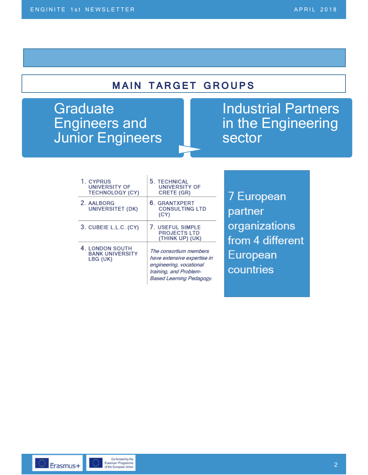## **MAIN TARGET GROUPS**

**Graduate** Engineers and Junior Engineers

## Industrial Partners in the Engineering sector

| 1. CYPRUS<br><b>UNIVERSITY OF</b><br><b>TECHNOLOGY (CY)</b> | 5. TECHNICAL<br><b>UNIVERSITY OF</b><br>CRETE (GR)                                                                                     | 7 European                        |
|-------------------------------------------------------------|----------------------------------------------------------------------------------------------------------------------------------------|-----------------------------------|
| 2. AALBORG<br>UNIVERSITET (DK)                              | 6. GRANTXPERT<br><b>CONSULTING LTD</b><br>(CY)                                                                                         | partner                           |
| 3. CUBEIE L.L.C. (CY)                                       | 7. USEFUL SIMPLE<br><b>PROJECTS LTD</b><br>(THINK UP) (UK)                                                                             | organizations<br>from 4 different |
| 4. LONDON SOUTH<br><b>BANK UNIVERSITY</b><br>LBG (UK)       | The consortium members<br>have extensive expertise in<br>engineering, vocational<br>training, and Problem-<br>Based Learning Pedagogy. | European<br>countries             |

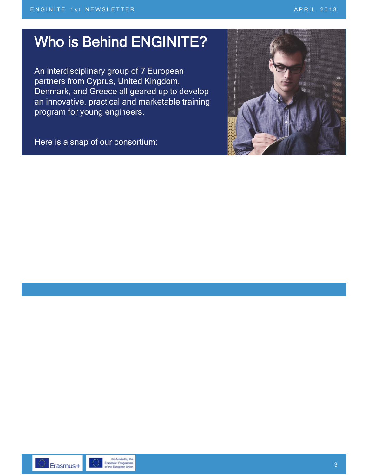# Who is Behind ENGINITE?

An interdisciplinary group of 7 European partners from Cyprus, United Kingdom, Denmark, and Greece all geared up to develop an innovative, practical and marketable training program for young engineers.

Here is a snap of our consortium:



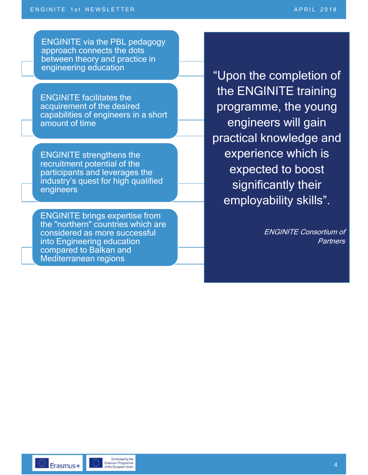ENGINITE via the PBL pedagogy approach connects the dots between theory and practice in engineering education

ENGINITE facilitates the acquirement of the desired capabilities of engineers in a short amount of time

ENGINITE strengthens the recruitment potential of the participants and leverages the industry's quest for high qualified engineers

ENGINITE brings expertise from the "northern" countries which are considered as more successful into Engineering education compared to Balkan and Mediterranean regions

"Upon the completion of the ENGINITE training programme, the young engineers will gain practical knowledge and experience which is expected to boost significantly their employability skills".

> ENGINITE Consortium of **Partners**

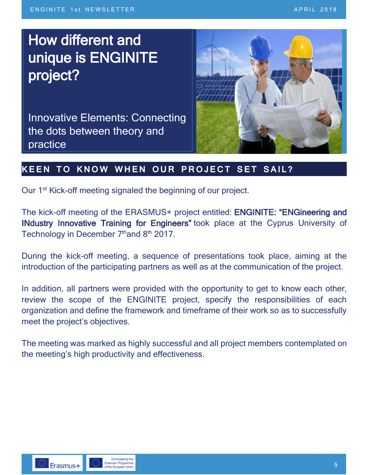# How different and How different and unique is ENGINITE unique is ENGINITE project? project?

Innovative Elements: Connecting practicethe dots between theory and



## **KEEN TO KNOW WHEN OUR PROJECT SET SAIL?**

Our 1<sup>st</sup> Kick-off meeting signaled the beginning of our project.

The kick-off meeting of the ERASMUS+ project entitled: ENGINITE: "ENGineering and INdustry Innovative Training for Engineers" took place at the Cyprus University of Technology in December 7th and 8th 2017.

During the kick-off meeting, a sequence of presentations took place, aiming at the introduction of the participating partners as well as at the communication of the project.

In addition, all partners were provided with the opportunity to get to know each other, review the scope of the ENGINITE project, specify the responsibilities of each organization and define the framework and timeframe of their work so as to successfully meet the project's objectives.

The meeting was marked as highly successful and all project members contemplated on the meeting's high productivity and effectiveness.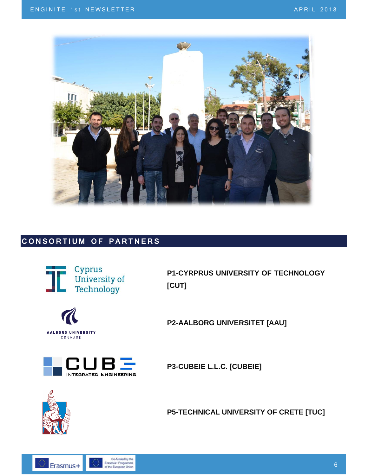

### **CONSORTIUM OF PARTNERS**



**P1-CYRPRUS UNIVERSITY OF TECHNOLOGY [CUT]**



**P2-AALBORG UNIVERSITET [AAU]**



**P3-CUBEIE L.L.C. [CUBEIE]**



**P5-TECHNICAL UNIVERSITY OF CRETE [TUC]**